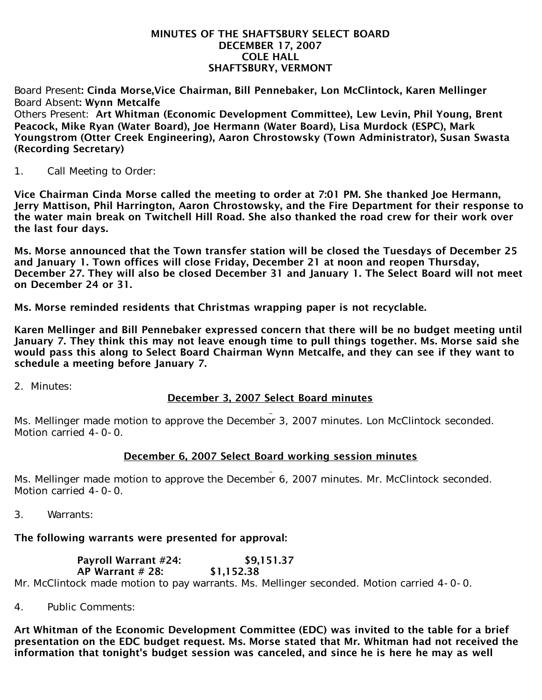## MINUTES OF THE SHAFTSBURY SELECT BOARD DECEMBER 17, 2007 COLE HALL SHAFTSBURY, VERMONT

Board Present: Cinda Morse,Vice Chairman, Bill Pennebaker, Lon McClintock, Karen Mellinger Board Absent: Wynn Metcalfe

Others Present: Art Whitman (Economic Development Committee), Lew Levin, Phil Young, Brent Peacock, Mike Ryan (Water Board), Joe Hermann (Water Board), Lisa Murdock (ESPC), Mark Youngstrom (Otter Creek Engineering), Aaron Chrostowsky (Town Administrator), Susan Swasta (Recording Secretary)

1. Call Meeting to Order:

Vice Chairman Cinda Morse called the meeting to order at 7:01 PM. She thanked Joe Hermann, Jerry Mattison, Phil Harrington, Aaron Chrostowsky, and the Fire Department for their response to the water main break on Twitchell Hill Road. She also thanked the road crew for their work over the last four days.

Ms. Morse announced that the Town transfer station will be closed the Tuesdays of December 25 and January 1. Town offices will close Friday, December 21 at noon and reopen Thursday, December 27. They will also be closed December 31 and January 1. The Select Board will not meet on December 24 or 31.

Ms. Morse reminded residents that Christmas wrapping paper is not recyclable.

Karen Mellinger and Bill Pennebaker expressed concern that there will be no budget meeting until January 7. They think this may not leave enough time to pull things together. Ms. Morse said she would pass this along to Select Board Chairman Wynn Metcalfe, and they can see if they want to schedule a meeting before January 7.

2. Minutes:

## December 3, 2007 Select Board minutes

Ms. Mellinger made motion to approve the December 3, 2007 minutes. Lon McClintock seconded. Motion carried 4-0-0.

## December 6, 2007 Select Board working session minutes

Ms. Mellinger made motion to approve the December 6, 2007 minutes. Mr. McClintock seconded. Motion carried 4-0-0.

3. Warrants:

## The following warrants were presented for approval:

 Payroll Warrant #24: \$9,151.37 AP Warrant # 28: \$1,152.38 Mr. McClintock made motion to pay warrants. Ms. Mellinger seconded. Motion carried 4-0-0.

4. Public Comments:

Art Whitman of the Economic Development Committee (EDC) was invited to the table for a brief presentation on the EDC budget request. Ms. Morse stated that Mr. Whitman had not received the information that tonight's budget session was canceled, and since he is here he may as well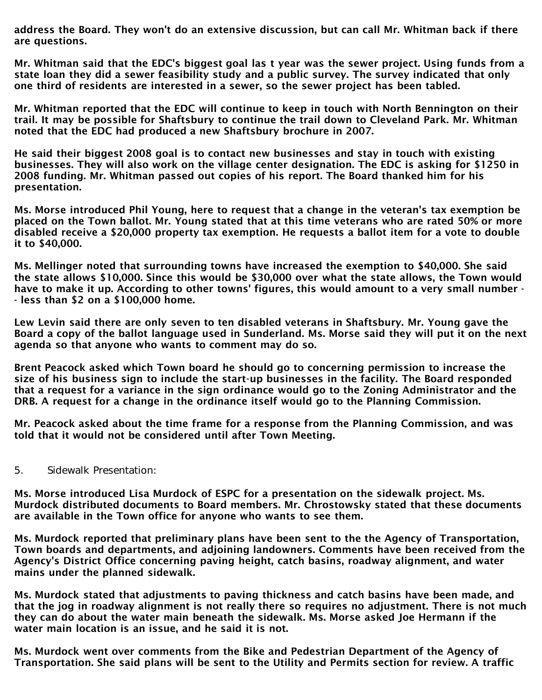address the Board. They won't do an extensive discussion, but can call Mr. Whitman back if there are questions.

Mr. Whitman said that the EDC's biggest goal las t year was the sewer project. Using funds from a state loan they did a sewer feasibility study and a public survey. The survey indicated that only one third of residents are interested in a sewer, so the sewer project has been tabled.

Mr. Whitman reported that the EDC will continue to keep in touch with North Bennington on their trail. It may be possible for Shaftsbury to continue the trail down to Cleveland Park. Mr. Whitman noted that the EDC had produced a new Shaftsbury brochure in 2007.

He said their biggest 2008 goal is to contact new businesses and stay in touch with existing businesses. They will also work on the village center designation. The EDC is asking for \$1250 in 2008 funding. Mr. Whitman passed out copies of his report. The Board thanked him for his presentation.

Ms. Morse introduced Phil Young, here to request that a change in the veteran's tax exemption be placed on the Town ballot. Mr. Young stated that at this time veterans who are rated 50% or more disabled receive a \$20,000 property tax exemption. He requests a ballot item for a vote to double it to \$40,000.

Ms. Mellinger noted that surrounding towns have increased the exemption to \$40,000. She said the state allows \$10,000. Since this would be \$30,000 over what the state allows, the Town would have to make it up. According to other towns' figures, this would amount to a very small number - - less than \$2 on a \$100,000 home.

Lew Levin said there are only seven to ten disabled veterans in Shaftsbury. Mr. Young gave the Board a copy of the ballot language used in Sunderland. Ms. Morse said they will put it on the next agenda so that anyone who wants to comment may do so.

Brent Peacock asked which Town board he should go to concerning permission to increase the size of his business sign to include the start-up businesses in the facility. The Board responded that a request for a variance in the sign ordinance would go to the Zoning Administrator and the DRB. A request for a change in the ordinance itself would go to the Planning Commission.

Mr. Peacock asked about the time frame for a response from the Planning Commission, and was told that it would not be considered until after Town Meeting.

5. Sidewalk Presentation:

Ms. Morse introduced Lisa Murdock of ESPC for a presentation on the sidewalk project. Ms. Murdock distributed documents to Board members. Mr. Chrostowsky stated that these documents are available in the Town office for anyone who wants to see them.

Ms. Murdock reported that preliminary plans have been sent to the the Agency of Transportation, Town boards and departments, and adjoining landowners. Comments have been received from the Agency's District Office concerning paving height, catch basins, roadway alignment, and water mains under the planned sidewalk.

Ms. Murdock stated that adjustments to paving thickness and catch basins have been made, and that the jog in roadway alignment is not really there so requires no adjustment. There is not much they can do about the water main beneath the sidewalk. Ms. Morse asked Joe Hermann if the water main location is an issue, and he said it is not.

Ms. Murdock went over comments from the Bike and Pedestrian Department of the Agency of Transportation. She said plans will be sent to the Utility and Permits section for review. A traffic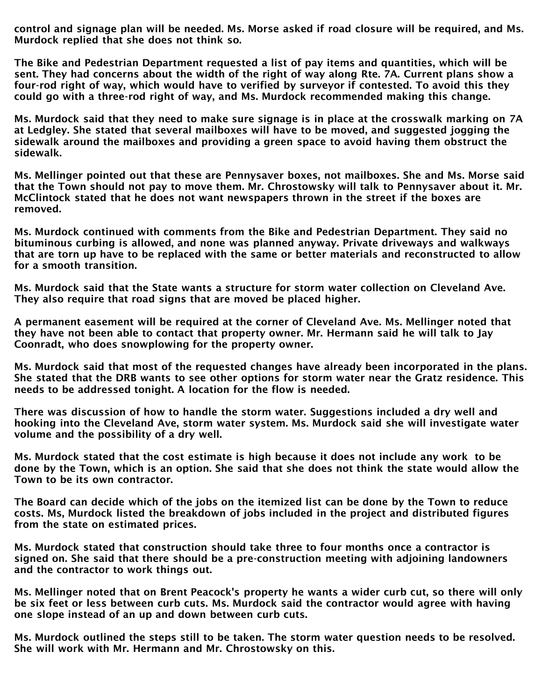control and signage plan will be needed. Ms. Morse asked if road closure will be required, and Ms. Murdock replied that she does not think so.

The Bike and Pedestrian Department requested a list of pay items and quantities, which will be sent. They had concerns about the width of the right of way along Rte. 7A. Current plans show a four-rod right of way, which would have to verified by surveyor if contested. To avoid this they could go with a three-rod right of way, and Ms. Murdock recommended making this change.

Ms. Murdock said that they need to make sure signage is in place at the crosswalk marking on 7A at Ledgley. She stated that several mailboxes will have to be moved, and suggested jogging the sidewalk around the mailboxes and providing a green space to avoid having them obstruct the sidewalk.

Ms. Mellinger pointed out that these are Pennysaver boxes, not mailboxes. She and Ms. Morse said that the Town should not pay to move them. Mr. Chrostowsky will talk to Pennysaver about it. Mr. McClintock stated that he does not want newspapers thrown in the street if the boxes are removed.

Ms. Murdock continued with comments from the Bike and Pedestrian Department. They said no bituminous curbing is allowed, and none was planned anyway. Private driveways and walkways that are torn up have to be replaced with the same or better materials and reconstructed to allow for a smooth transition.

Ms. Murdock said that the State wants a structure for storm water collection on Cleveland Ave. They also require that road signs that are moved be placed higher.

A permanent easement will be required at the corner of Cleveland Ave. Ms. Mellinger noted that they have not been able to contact that property owner. Mr. Hermann said he will talk to Jay Coonradt, who does snowplowing for the property owner.

Ms. Murdock said that most of the requested changes have already been incorporated in the plans. She stated that the DRB wants to see other options for storm water near the Gratz residence. This needs to be addressed tonight. A location for the flow is needed.

There was discussion of how to handle the storm water. Suggestions included a dry well and hooking into the Cleveland Ave, storm water system. Ms. Murdock said she will investigate water volume and the possibility of a dry well.

Ms. Murdock stated that the cost estimate is high because it does not include any work to be done by the Town, which is an option. She said that she does not think the state would allow the Town to be its own contractor.

The Board can decide which of the jobs on the itemized list can be done by the Town to reduce costs. Ms, Murdock listed the breakdown of jobs included in the project and distributed figures from the state on estimated prices.

Ms. Murdock stated that construction should take three to four months once a contractor is signed on. She said that there should be a pre-construction meeting with adjoining landowners and the contractor to work things out.

Ms. Mellinger noted that on Brent Peacock's property he wants a wider curb cut, so there will only be six feet or less between curb cuts. Ms. Murdock said the contractor would agree with having one slope instead of an up and down between curb cuts.

Ms. Murdock outlined the steps still to be taken. The storm water question needs to be resolved. She will work with Mr. Hermann and Mr. Chrostowsky on this.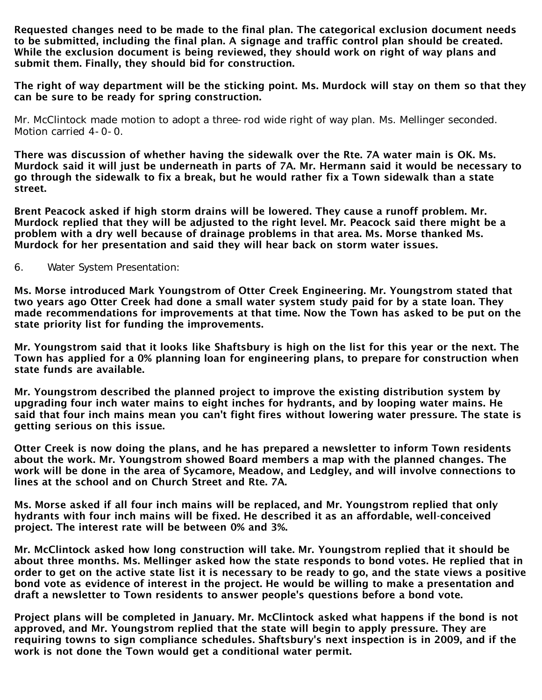Requested changes need to be made to the final plan. The categorical exclusion document needs to be submitted, including the final plan. A signage and traffic control plan should be created. While the exclusion document is being reviewed, they should work on right of way plans and submit them. Finally, they should bid for construction.

The right of way department will be the sticking point. Ms. Murdock will stay on them so that they can be sure to be ready for spring construction.

Mr. McClintock made motion to adopt a three-rod wide right of way plan. Ms. Mellinger seconded. Motion carried 4-0-0.

There was discussion of whether having the sidewalk over the Rte. 7A water main is OK. Ms. Murdock said it will just be underneath in parts of 7A. Mr. Hermann said it would be necessary to go through the sidewalk to fix a break, but he would rather fix a Town sidewalk than a state street.

Brent Peacock asked if high storm drains will be lowered. They cause a runoff problem. Mr. Murdock replied that they will be adjusted to the right level. Mr. Peacock said there might be a problem with a dry well because of drainage problems in that area. Ms. Morse thanked Ms. Murdock for her presentation and said they will hear back on storm water issues.

6. Water System Presentation:

Ms. Morse introduced Mark Youngstrom of Otter Creek Engineering. Mr. Youngstrom stated that two years ago Otter Creek had done a small water system study paid for by a state loan. They made recommendations for improvements at that time. Now the Town has asked to be put on the state priority list for funding the improvements.

Mr. Youngstrom said that it looks like Shaftsbury is high on the list for this year or the next. The Town has applied for a 0% planning loan for engineering plans, to prepare for construction when state funds are available.

Mr. Youngstrom described the planned project to improve the existing distribution system by upgrading four inch water mains to eight inches for hydrants, and by looping water mains. He said that four inch mains mean you can't fight fires without lowering water pressure. The state is getting serious on this issue.

Otter Creek is now doing the plans, and he has prepared a newsletter to inform Town residents about the work. Mr. Youngstrom showed Board members a map with the planned changes. The work will be done in the area of Sycamore, Meadow, and Ledgley, and will involve connections to lines at the school and on Church Street and Rte. 7A.

Ms. Morse asked if all four inch mains will be replaced, and Mr. Youngstrom replied that only hydrants with four inch mains will be fixed. He described it as an affordable, well-conceived project. The interest rate will be between 0% and 3%.

Mr. McClintock asked how long construction will take. Mr. Youngstrom replied that it should be about three months. Ms. Mellinger asked how the state responds to bond votes. He replied that in order to get on the active state list it is necessary to be ready to go, and the state views a positive bond vote as evidence of interest in the project. He would be willing to make a presentation and draft a newsletter to Town residents to answer people's questions before a bond vote.

Project plans will be completed in January. Mr. McClintock asked what happens if the bond is not approved, and Mr. Youngstrom replied that the state will begin to apply pressure. They are requiring towns to sign compliance schedules. Shaftsbury's next inspection is in 2009, and if the work is not done the Town would get a conditional water permit.